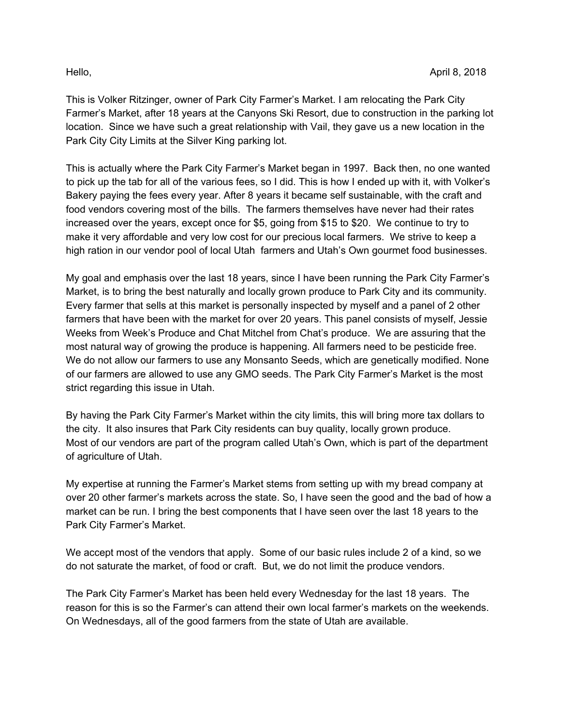This is Volker Ritzinger, owner of Park City Farmer's Market. I am relocating the Park City Farmer's Market, after 18 years at the Canyons Ski Resort, due to construction in the parking lot location. Since we have such a great relationship with Vail, they gave us a new location in the Park City City Limits at the Silver King parking lot.

This is actually where the Park City Farmer's Market began in 1997. Back then, no one wanted to pick up the tab for all of the various fees, so I did. This is how I ended up with it, with Volker's Bakery paying the fees every year. After 8 years it became self sustainable, with the craft and food vendors covering most of the bills. The farmers themselves have never had their rates increased over the years, except once for \$5, going from \$15 to \$20. We continue to try to make it very affordable and very low cost for our precious local farmers. We strive to keep a high ration in our vendor pool of local Utah farmers and Utah's Own gourmet food businesses.

My goal and emphasis over the last 18 years, since I have been running the Park City Farmer's Market, is to bring the best naturally and locally grown produce to Park City and its community. Every farmer that sells at this market is personally inspected by myself and a panel of 2 other farmers that have been with the market for over 20 years. This panel consists of myself, Jessie Weeks from Week's Produce and Chat Mitchel from Chat's produce. We are assuring that the most natural way of growing the produce is happening. All farmers need to be pesticide free. We do not allow our farmers to use any Monsanto Seeds, which are genetically modified. None of our farmers are allowed to use any GMO seeds. The Park City Farmer's Market is the most strict regarding this issue in Utah.

By having the Park City Farmer's Market within the city limits, this will bring more tax dollars to the city. It also insures that Park City residents can buy quality, locally grown produce. Most of our vendors are part of the program called Utah's Own, which is part of the department of agriculture of Utah.

My expertise at running the Farmer's Market stems from setting up with my bread company at over 20 other farmer's markets across the state. So, I have seen the good and the bad of how a market can be run. I bring the best components that I have seen over the last 18 years to the Park City Farmer's Market.

We accept most of the vendors that apply. Some of our basic rules include 2 of a kind, so we do not saturate the market, of food or craft. But, we do not limit the produce vendors.

The Park City Farmer's Market has been held every Wednesday for the last 18 years. The reason for this is so the Farmer's can attend their own local farmer's markets on the weekends. On Wednesdays, all of the good farmers from the state of Utah are available.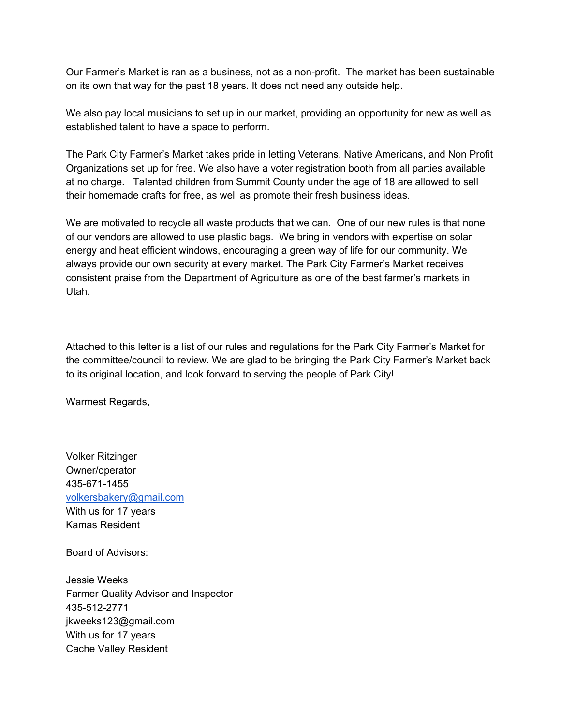Our Farmer's Market is ran as a business, not as a non-profit. The market has been sustainable on its own that way for the past 18 years. It does not need any outside help.

We also pay local musicians to set up in our market, providing an opportunity for new as well as established talent to have a space to perform.

The Park City Farmer's Market takes pride in letting Veterans, Native Americans, and Non Profit Organizations set up for free. We also have a voter registration booth from all parties available at no charge. Talented children from Summit County under the age of 18 are allowed to sell their homemade crafts for free, as well as promote their fresh business ideas.

We are motivated to recycle all waste products that we can. One of our new rules is that none of our vendors are allowed to use plastic bags. We bring in vendors with expertise on solar energy and heat efficient windows, encouraging a green way of life for our community. We always provide our own security at every market. The Park City Farmer's Market receives consistent praise from the Department of Agriculture as one of the best farmer's markets in Utah.

Attached to this letter is a list of our rules and regulations for the Park City Farmer's Market for the committee/council to review. We are glad to be bringing the Park City Farmer's Market back to its original location, and look forward to serving the people of Park City!

Warmest Regards,

Volker Ritzinger Owner/operator 435-671-1455 [volkersbakery@gmail.com](mailto:volkersbakery@gmail.com) With us for 17 years Kamas Resident

Board of Advisors:

Jessie Weeks Farmer Quality Advisor and Inspector 435-512-2771 jkweeks123@gmail.com With us for 17 years Cache Valley Resident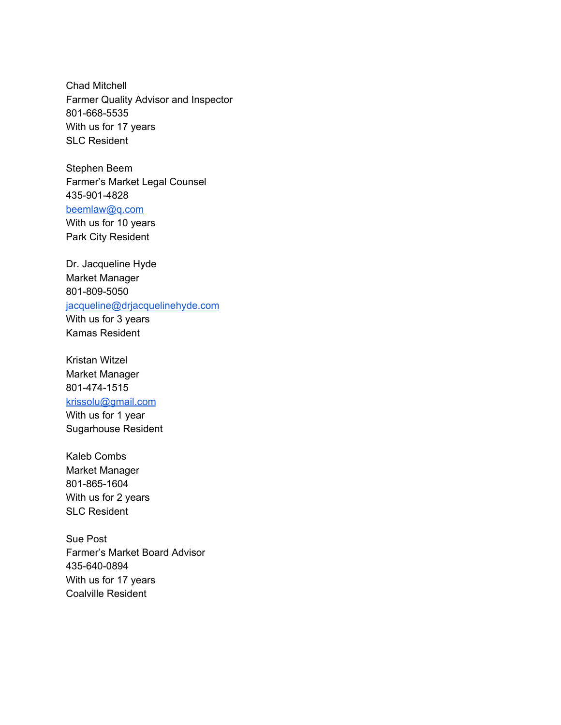Chad Mitchell Farmer Quality Advisor and Inspector 801-668-5535 With us for 17 years SLC Resident

Stephen Beem Farmer's Market Legal Counsel 435-901-4828 [beemlaw@q.com](mailto:beemlaw@q.com) With us for 10 years Park City Resident

Dr. Jacqueline Hyde Market Manager 801-809-5050 [jacqueline@drjacquelinehyde.com](mailto:jacqueline@drjacquelinehyde.com) With us for 3 years Kamas Resident

Kristan Witzel Market Manager 801-474-1515 [krissolu@gmail.com](mailto:krissolu@gmail.com) With us for 1 year Sugarhouse Resident

Kaleb Combs Market Manager 801-865-1604 With us for 2 years SLC Resident

Sue Post Farmer's Market Board Advisor 435-640-0894 With us for 17 years Coalville Resident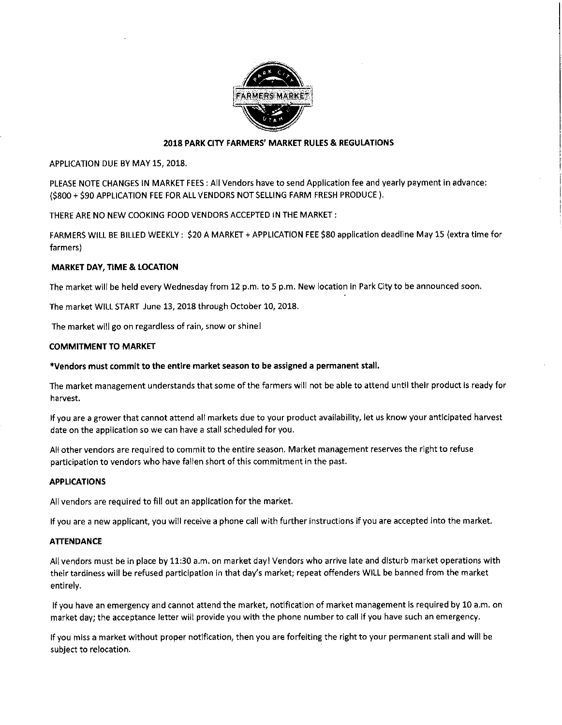

# 2018 PARK CITY FARMERS' MARKET RULES & REGULATIONS

APPLICATION DUE BY MAY 15, 2018.

PLEASE NOTE CHANGES IN MARKET FEES : All Vendors have to send Application fee and yearly payment in advance: (\$800 + \$90 APPLICATION FEE FOR ALL VENDORS NOT SELLING FARM FRESH PRODUCE).

THERE ARE NO NEW COOKING FOOD VENDORS ACCEPTED IN THE MARKET:

FARMERS WILL BE BILLED WEEKLY: \$20 A MARKET + APPLICATION FEE \$80 application deadline May 15 (extra time for farmers)

## **MARKET DAY, TIME & LOCATION**

The market will be held every Wednesday from 12 p.m. to 5 p.m. New location in Park City to be announced soon.

The market WILL START June 13, 2018 through October 10, 2018.

The market will go on regardless of rain, snow or shine!

## **COMMITMENT TO MARKET**

## \*Vendors must commit to the entire market season to be assigned a permanent stall.

The market management understands that some of the farmers will not be able to attend until their product is ready for harvest.

If you are a grower that cannot attend all markets due to your product availability, let us know your anticipated harvest date on the application so we can have a stall scheduled for you.

All other vendors are required to commit to the entire season. Market management reserves the right to refuse participation to vendors who have fallen short of this commitment in the past.

## **APPLICATIONS**

All vendors are required to fill out an application for the market.

If you are a new applicant, you will receive a phone call with further instructions if you are accepted into the market.

## **ATTENDANCE**

All vendors must be in place by 11:30 a.m. on market day! Vendors who arrive late and disturb market operations with their tardiness will be refused participation in that day's market; repeat offenders WILL be banned from the market entirely.

If you have an emergency and cannot attend the market, notification of market management is required by 10 a.m. on market day; the acceptance letter will provide you with the phone number to call if you have such an emergency.

If you miss a market without proper notification, then you are forfeiting the right to your permanent stall and will be subject to relocation.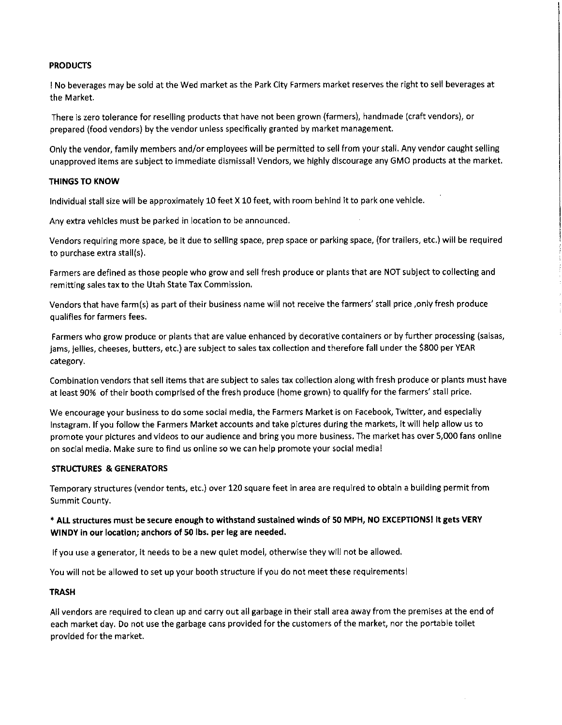# **PRODUCTS**

I No beverages may be sold at the Wed market as the Park City Farmers market reserves the right to sell beverages at the Market.

There is zero tolerance for reselling products that have not been grown (farmers), handmade (craft vendors), or prepared (food vendors) by the vendor unless specifically granted by market management.

Only the vendor, family members and/or employees will be permitted to sell from your stall. Any vendor caught selling unapproved items are subject to immediate dismissal! Vendors, we highly discourage any GMO products at the market.

## **THINGS TO KNOW**

Individual stall size will be approximately 10 feet X 10 feet, with room behind it to park one vehicle.

Any extra vehicles must be parked in location to be announced.

Vendors requiring more space, be it due to selling space, prep space or parking space, (for trailers, etc.) will be required to purchase extra stall(s).

Farmers are defined as those people who grow and sell fresh produce or plants that are NOT subject to collecting and remitting sales tax to the Utah State Tax Commission.

Vendors that have farm(s) as part of their business name will not receive the farmers' stall price, only fresh produce qualifies for farmers fees.

Farmers who grow produce or plants that are value enhanced by decorative containers or by further processing (salsas, jams, jellies, cheeses, butters, etc.) are subject to sales tax collection and therefore fall under the \$800 per YEAR category.

Combination vendors that sell items that are subject to sales tax collection along with fresh produce or plants must have at least 90% of their booth comprised of the fresh produce (home grown) to qualify for the farmers' stall price.

We encourage your business to do some social media, the Farmers Market is on Facebook, Twitter, and especially Instagram. If you follow the Farmers Market accounts and take pictures during the markets, it will help allow us to promote your pictures and videos to our audience and bring you more business. The market has over 5,000 fans online on social media. Make sure to find us online so we can help promote your social media!

# **STRUCTURES & GENERATORS**

Temporary structures (vendor tents, etc.) over 120 square feet in area are required to obtain a building permit from Summit County.

# \* ALL structures must be secure enough to withstand sustained winds of 50 MPH, NO EXCEPTIONS! It gets VERY WINDY in our location; anchors of 50 lbs. per leg are needed.

If you use a generator, it needs to be a new quiet model, otherwise they will not be allowed.

You will not be allowed to set up your booth structure if you do not meet these requirements!

## **TRASH**

All vendors are required to clean up and carry out all garbage in their stall area away from the premises at the end of each market day. Do not use the garbage cans provided for the customers of the market, nor the portable toilet provided for the market.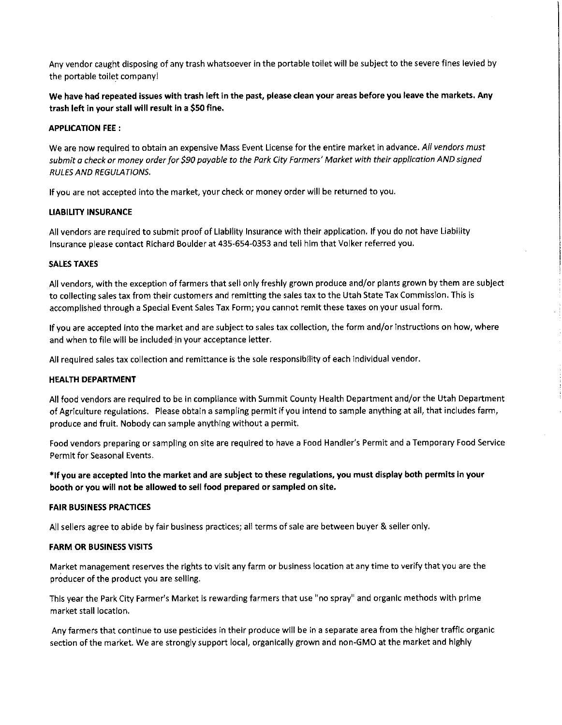Any vendor caught disposing of any trash whatsoever in the portable toilet will be subject to the severe fines levied by the portable toilet company!

We have had repeated issues with trash left in the past, please clean your areas before you leave the markets. Any trash left in your stall will result in a \$50 fine.

## **APPLICATION FEE:**

We are now required to obtain an expensive Mass Event License for the entire market in advance. All vendors must submit a check or money order for \$90 payable to the Park City Farmers' Market with their application AND signed **RULES AND REGULATIONS.** 

If you are not accepted into the market, your check or money order will be returned to you.

## **LIABILITY INSURANCE**

All vendors are required to submit proof of Liability Insurance with their application. If you do not have Liability Insurance please contact Richard Boulder at 435-654-0353 and tell him that Volker referred you.

## **SALES TAXES**

All vendors, with the exception of farmers that sell only freshly grown produce and/or plants grown by them are subject to collecting sales tax from their customers and remitting the sales tax to the Utah State Tax Commission. This is accomplished through a Special Event Sales Tax Form; you cannot remit these taxes on your usual form.

If you are accepted into the market and are subject to sales tax collection, the form and/or instructions on how, where and when to file will be included in your acceptance letter.

All required sales tax collection and remittance is the sole responsibility of each individual vendor.

# **HEALTH DEPARTMENT**

All food vendors are required to be in compliance with Summit County Health Department and/or the Utah Department of Agriculture regulations. Please obtain a sampling permit if you intend to sample anything at all, that includes farm, produce and fruit. Nobody can sample anything without a permit.

Food vendors preparing or sampling on site are required to have a Food Handler's Permit and a Temporary Food Service Permit for Seasonal Events.

\*If you are accepted into the market and are subject to these regulations, you must display both permits in your booth or you will not be allowed to sell food prepared or sampled on site.

# **FAIR BUSINESS PRACTICES**

All sellers agree to abide by fair business practices; all terms of sale are between buyer & seller only.

## **FARM OR BUSINESS VISITS**

Market management reserves the rights to visit any farm or business location at any time to verify that you are the producer of the product you are selling.

This year the Park City Farmer's Market is rewarding farmers that use "no spray" and organic methods with prime market stall location.

Any farmers that continue to use pesticides in their produce will be in a separate area from the higher traffic organic section of the market. We are strongly support local, organically grown and non-GMO at the market and highly